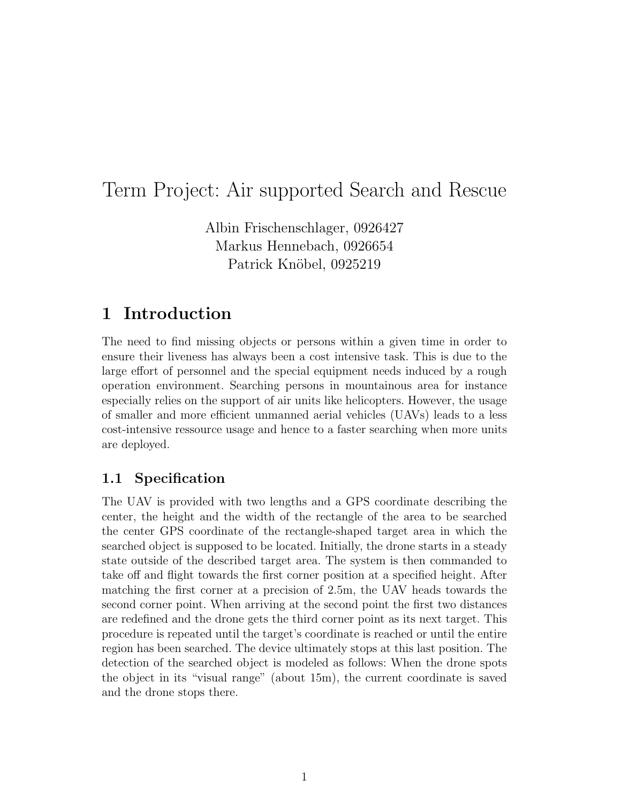# Term Project: Air supported Search and Rescue

Albin Frischenschlager, 0926427 Markus Hennebach, 0926654 Patrick Knöbel, 0925219

## 1 Introduction

The need to find missing objects or persons within a given time in order to ensure their liveness has always been a cost intensive task. This is due to the large effort of personnel and the special equipment needs induced by a rough operation environment. Searching persons in mountainous area for instance especially relies on the support of air units like helicopters. However, the usage of smaller and more efficient unmanned aerial vehicles (UAVs) leads to a less cost-intensive ressource usage and hence to a faster searching when more units are deployed.

### 1.1 Specification

The UAV is provided with two lengths and a GPS coordinate describing the center, the height and the width of the rectangle of the area to be searched the center GPS coordinate of the rectangle-shaped target area in which the searched object is supposed to be located. Initially, the drone starts in a steady state outside of the described target area. The system is then commanded to take off and flight towards the first corner position at a specified height. After matching the first corner at a precision of 2.5m, the UAV heads towards the second corner point. When arriving at the second point the first two distances are redefined and the drone gets the third corner point as its next target. This procedure is repeated until the target's coordinate is reached or until the entire region has been searched. The device ultimately stops at this last position. The detection of the searched object is modeled as follows: When the drone spots the object in its "visual range" (about 15m), the current coordinate is saved and the drone stops there.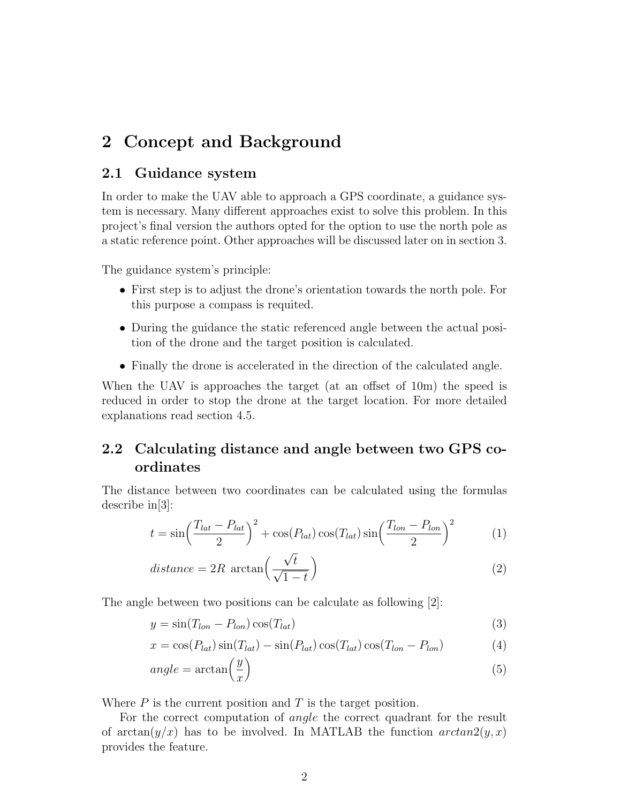## 2 Concept and Background

#### 2.1 Guidance system

In order to make the UAV able to approach a GPS coordinate, a guidance system is necessary. Many different approaches exist to solve this problem. In this project's final version the authors opted for the option to use the north pole as a static reference point. Other approaches will be discussed later on in section 3.

The guidance system's principle:

- First step is to adjust the drone's orientation towards the north pole. For this purpose a compass is requited.
- During the guidance the static referenced angle between the actual position of the drone and the target position is calculated.
- Finally the drone is accelerated in the direction of the calculated angle.

When the UAV is approaches the target (at an offset of 10m) the speed is reduced in order to stop the drone at the target location. For more detailed explanations read section 4.5.

### 2.2 Calculating distance and angle between two GPS coordinates

The distance between two coordinates can be calculated using the formulas describe in  $|3|$ :

$$
t = \sin\left(\frac{T_{lat} - P_{lat}}{2}\right)^2 + \cos(P_{lat})\cos(T_{lat})\sin\left(\frac{T_{lon} - P_{lon}}{2}\right)^2 \tag{1}
$$

$$
distance = 2R \arctan\left(\frac{\sqrt{t}}{\sqrt{1-t}}\right)
$$
 (2)

The angle between two positions can be calculate as following [2]:

$$
y = \sin(T_{lon} - P_{lon})\cos(T_{lat})
$$
\n(3)

$$
x = \cos(P_{lat})\sin(T_{lat}) - \sin(P_{lat})\cos(T_{lat})\cos(T_{lon} - P_{lon})
$$
\n(4)

$$
angle = \arctan\left(\frac{y}{x}\right) \tag{5}
$$

Where  $P$  is the current position and  $T$  is the target position.

For the correct computation of *angle* the correct quadrant for the result of  $\arctan(y/x)$  has to be involved. In MATLAB the function  $arctan(2(y, x)$ provides the feature.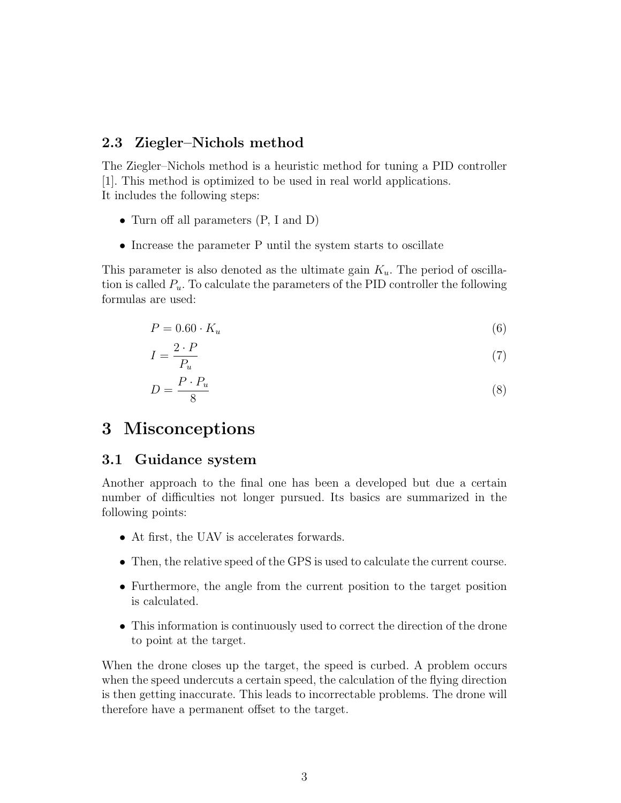#### 2.3 Ziegler–Nichols method

The Ziegler–Nichols method is a heuristic method for tuning a PID controller [1]. This method is optimized to be used in real world applications. It includes the following steps:

- Turn off all parameters  $(P, I \text{ and } D)$
- Increase the parameter P until the system starts to oscillate

This parameter is also denoted as the ultimate gain  $K_u$ . The period of oscillation is called  $P_u$ . To calculate the parameters of the PID controller the following formulas are used:

$$
P = 0.60 \cdot K_u \tag{6}
$$

$$
I = \frac{2 \cdot P}{P_u} \tag{7}
$$

$$
D = \frac{P \cdot P_u}{8} \tag{8}
$$

### 3 Misconceptions

#### 3.1 Guidance system

Another approach to the final one has been a developed but due a certain number of difficulties not longer pursued. Its basics are summarized in the following points:

- At first, the UAV is accelerates forwards.
- Then, the relative speed of the GPS is used to calculate the current course.
- Furthermore, the angle from the current position to the target position is calculated.
- This information is continuously used to correct the direction of the drone to point at the target.

When the drone closes up the target, the speed is curbed. A problem occurs when the speed undercuts a certain speed, the calculation of the flying direction is then getting inaccurate. This leads to incorrectable problems. The drone will therefore have a permanent offset to the target.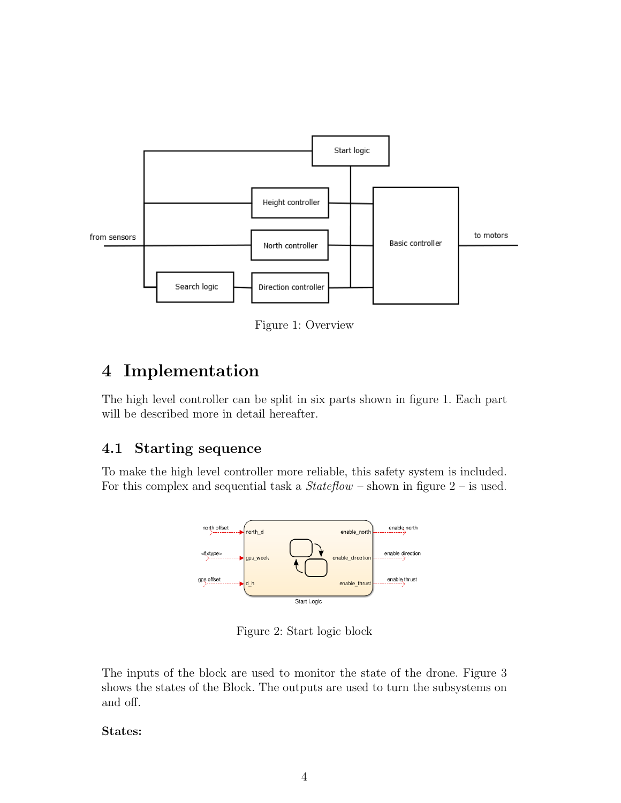

Figure 1: Overview

# 4 Implementation

The high level controller can be split in six parts shown in figure 1. Each part will be described more in detail hereafter.

### 4.1 Starting sequence

To make the high level controller more reliable, this safety system is included. For this complex and sequential task a  $Stateflow$  – shown in figure  $2$  – is used.



Figure 2: Start logic block

The inputs of the block are used to monitor the state of the drone. Figure 3 shows the states of the Block. The outputs are used to turn the subsystems on and off.

#### States: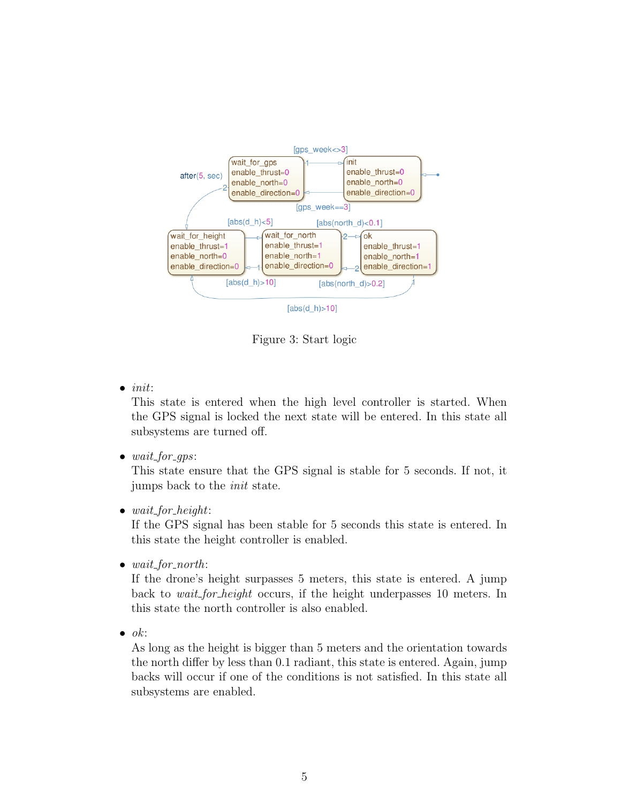

Figure 3: Start logic

 $\bullet$  init:

This state is entered when the high level controller is started. When the GPS signal is locked the next state will be entered. In this state all subsystems are turned off.

 $\bullet$  wait\_for\_gps:

This state ensure that the GPS signal is stable for 5 seconds. If not, it jumps back to the init state.

• wait\_for\_height:

If the GPS signal has been stable for 5 seconds this state is entered. In this state the height controller is enabled.

 $\bullet$  wait\_for\_north:

If the drone's height surpasses 5 meters, this state is entered. A jump back to wait for height occurs, if the height underpasses 10 meters. In this state the north controller is also enabled.

 $\bullet$  ok:

As long as the height is bigger than 5 meters and the orientation towards the north differ by less than 0.1 radiant, this state is entered. Again, jump backs will occur if one of the conditions is not satisfied. In this state all subsystems are enabled.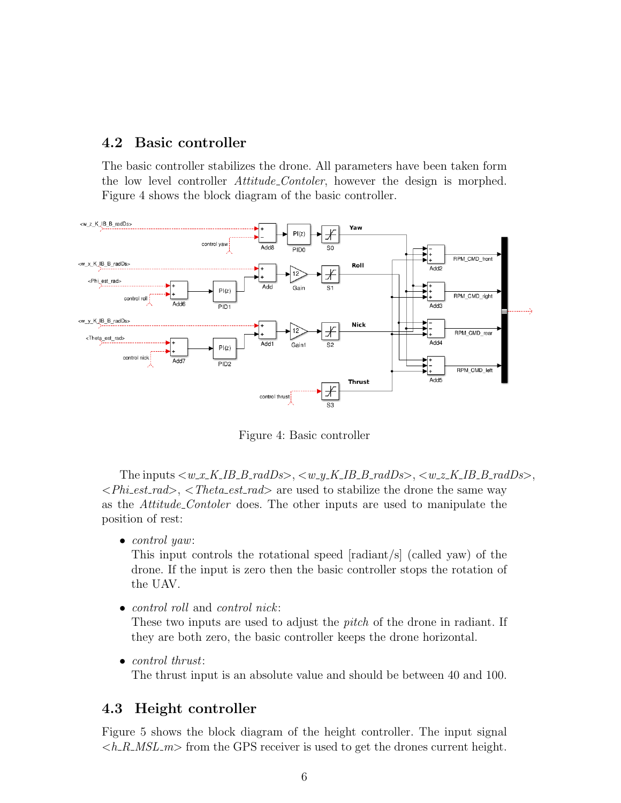### 4.2 Basic controller

The basic controller stabilizes the drone. All parameters have been taken form the low level controller *Attitude\_Contoler*, however the design is morphed. Figure 4 shows the block diagram of the basic controller.



Figure 4: Basic controller

The inputs  $\langle w_x K I B B x x dD s \rangle$ ,  $\langle w_y K I B B x dD s \rangle$ ,  $\langle w_z K I B B B x dD s \rangle$ ,  $\langle \text{Phi} \rangle$ ,  $\langle \text{Theta} \rangle$ ,  $\langle \text{Theta} \rangle$  are used to stabilize the drone the same way as the Attitude Contoler does. The other inputs are used to manipulate the position of rest:

• *control yaw*:

This input controls the rotational speed [radiant/s] (called yaw) of the drone. If the input is zero then the basic controller stops the rotation of the UAV.

• *control roll* and *control nick*:

These two inputs are used to adjust the *pitch* of the drone in radiant. If they are both zero, the basic controller keeps the drone horizontal.

• *control thrust*:

The thrust input is an absolute value and should be between 40 and 100.

#### 4.3 Height controller

Figure 5 shows the block diagram of the height controller. The input signal  $\langle h_R M S L_m \rangle$  from the GPS receiver is used to get the drones current height.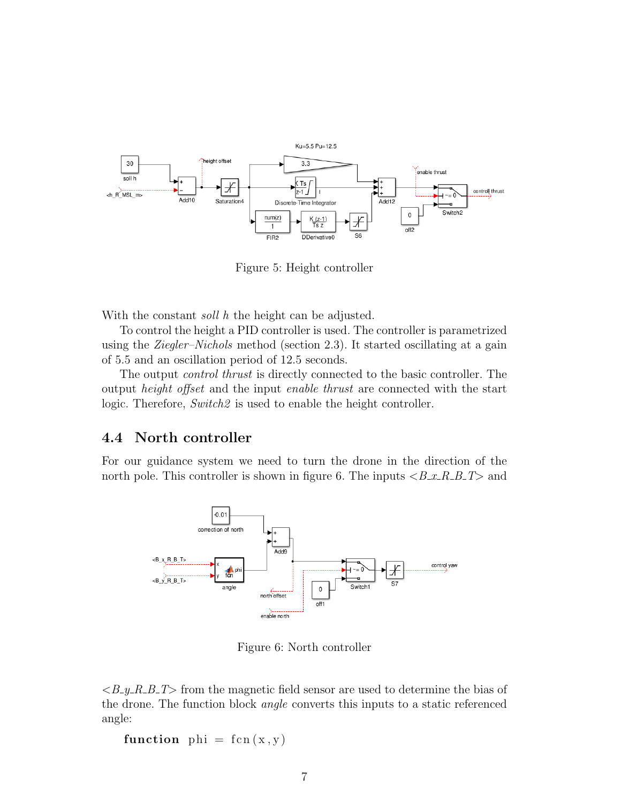

Figure 5: Height controller

With the constant *soll* h the height can be adjusted.

To control the height a PID controller is used. The controller is parametrized using the Ziegler–Nichols method (section 2.3). It started oscillating at a gain of 5.5 and an oscillation period of 12.5 seconds.

The output control thrust is directly connected to the basic controller. The output height offset and the input enable thrust are connected with the start logic. Therefore, Switch2 is used to enable the height controller.

#### 4.4 North controller

For our guidance system we need to turn the drone in the direction of the north pole. This controller is shown in figure 6. The inputs  $\langle B_x, R_y, R_z, B_z \rangle$  and



Figure 6: North controller

 $\langle B_y R_B T \rangle$  from the magnetic field sensor are used to determine the bias of the drone. The function block angle converts this inputs to a static referenced angle:

function phi =  $fcn(x, y)$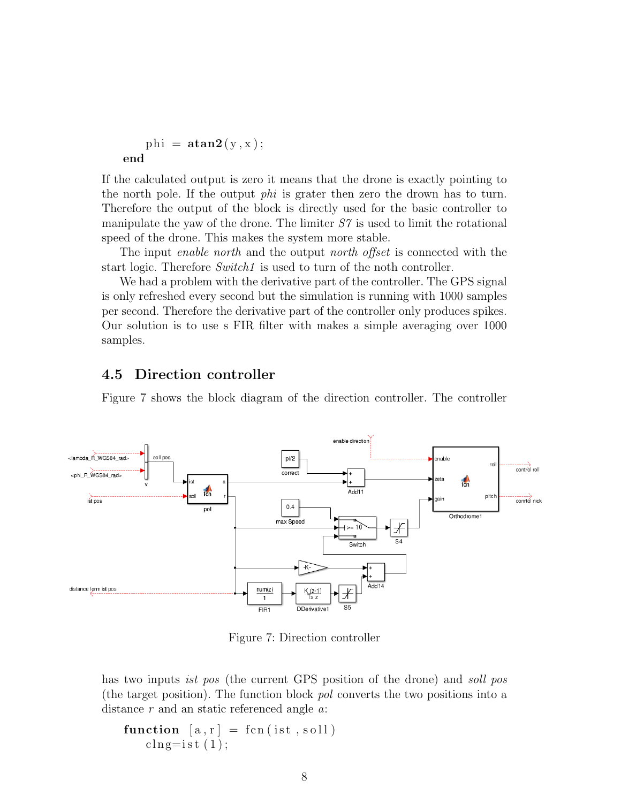```
phi = \text{atan2}(y, x);end
```
If the calculated output is zero it means that the drone is exactly pointing to the north pole. If the output phi is grater then zero the drown has to turn. Therefore the output of the block is directly used for the basic controller to manipulate the yaw of the drone. The limiter  $S<sup>7</sup>$  is used to limit the rotational speed of the drone. This makes the system more stable.

The input *enable north* and the output *north offset* is connected with the start logic. Therefore *Switch1* is used to turn of the noth controller.

We had a problem with the derivative part of the controller. The GPS signal is only refreshed every second but the simulation is running with 1000 samples per second. Therefore the derivative part of the controller only produces spikes. Our solution is to use s FIR filter with makes a simple averaging over 1000 samples.

#### 4.5 Direction controller

Figure 7 shows the block diagram of the direction controller. The controller



Figure 7: Direction controller

has two inputs *ist pos* (the current GPS position of the drone) and *soll pos* (the target position). The function block pol converts the two positions into a distance  $r$  and an static referenced angle  $a$ .

```
function [a, r] = \text{fen}(ist, \text{soll})\text{cln}g=ist(1);
```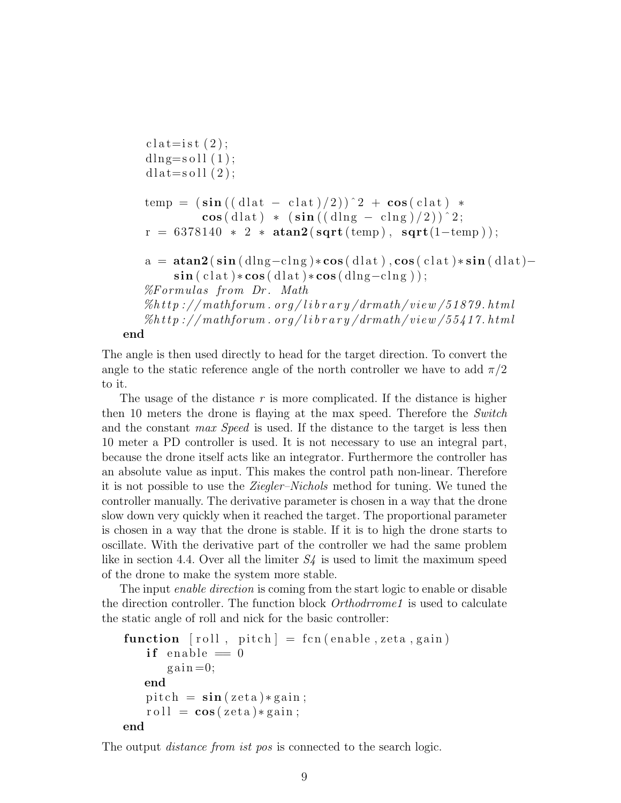```
\text{cl} \, \text{at} = \text{ist} \, (2);
dlng=\text{s o}ll(1);
dlat=soll(2);
temp = (\sin ((dlat - clat)/2))^2 + \cos(clat)\cos(\text{dlat}) * (\sin((\text{dIng} - \text{clng})/2))^2;r = 6378140 * 2 * \text{atan2}(\text{sqrt}(\text{temp}), \text{sqrt}(1-\text{temp}));a = \text{atan2}(\sin(\text{dln}g - \text{clng})*\cos(\text{dlat}), \cos(\text{clat})*\sin(\text{dlat}) -\sin(\text{clat})*\cos(\text{dlat})*\cos(\text{dlng}-\text{clng}));
\% Formulas from Dr. Math
\%h\,t p ://mathforum . org/library/drmath/view/51879.html
\%http://mathforum.org/library/drmath/view/55417.html
```
end

The angle is then used directly to head for the target direction. To convert the angle to the static reference angle of the north controller we have to add  $\pi/2$ to it.

The usage of the distance  $r$  is more complicated. If the distance is higher then 10 meters the drone is flaying at the max speed. Therefore the Switch and the constant *max Speed* is used. If the distance to the target is less then 10 meter a PD controller is used. It is not necessary to use an integral part, because the drone itself acts like an integrator. Furthermore the controller has an absolute value as input. This makes the control path non-linear. Therefore it is not possible to use the Ziegler–Nichols method for tuning. We tuned the controller manually. The derivative parameter is chosen in a way that the drone slow down very quickly when it reached the target. The proportional parameter is chosen in a way that the drone is stable. If it is to high the drone starts to oscillate. With the derivative part of the controller we had the same problem like in section 4.4. Over all the limiter  $S<sub>4</sub>$  is used to limit the maximum speed of the drone to make the system more stable.

The input *enable direction* is coming from the start logic to enable or disable the direction controller. The function block *Orthodrrome1* is used to calculate the static angle of roll and nick for the basic controller:

```
function \lceil \text{roll} \rceil, pitch\rceil = \text{fen}(\text{enable}, \text{zeta}, \text{gain})if enable = 0gain=0;end
     pitch = \sin( z \cdot \tan) * \sin;
     roll = \cos( zeta) * gain ;end
```
The output *distance from ist pos* is connected to the search logic.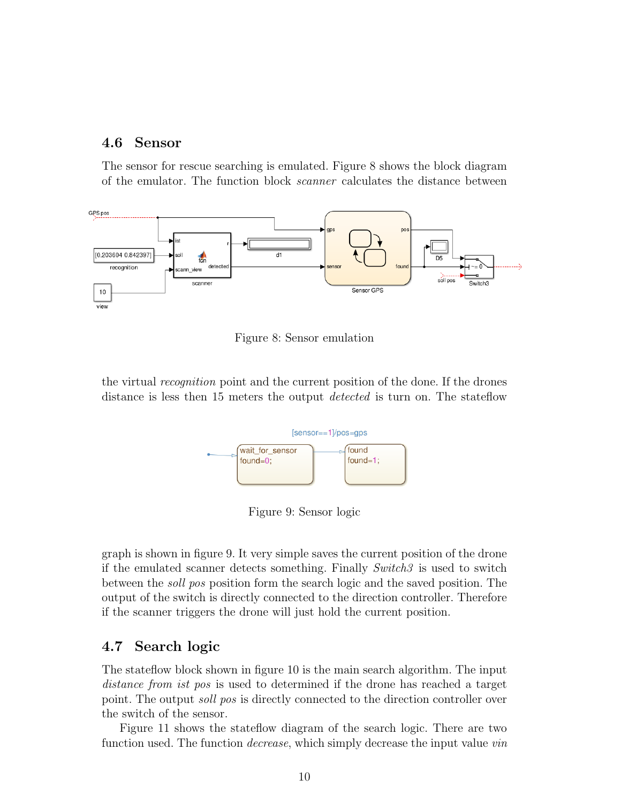#### 4.6 Sensor

The sensor for rescue searching is emulated. Figure 8 shows the block diagram of the emulator. The function block scanner calculates the distance between



Figure 8: Sensor emulation

the virtual recognition point and the current position of the done. If the drones distance is less then 15 meters the output *detected* is turn on. The stateflow



Figure 9: Sensor logic

graph is shown in figure 9. It very simple saves the current position of the drone if the emulated scanner detects something. Finally  $Switch3$  is used to switch between the soll pos position form the search logic and the saved position. The output of the switch is directly connected to the direction controller. Therefore if the scanner triggers the drone will just hold the current position.

#### 4.7 Search logic

The stateflow block shown in figure 10 is the main search algorithm. The input distance from ist pos is used to determined if the drone has reached a target point. The output soll pos is directly connected to the direction controller over the switch of the sensor.

Figure 11 shows the stateflow diagram of the search logic. There are two function used. The function *decrease*, which simply decrease the input value *vin*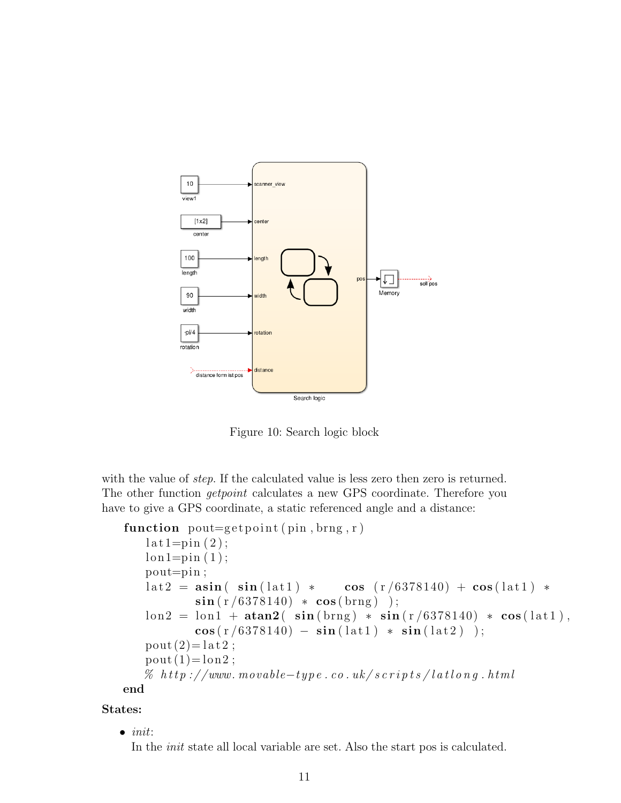

Figure 10: Search logic block

with the value of *step*. If the calculated value is less zero then zero is returned. The other function *getpoint* calculates a new GPS coordinate. Therefore you have to give a GPS coordinate, a static referenced angle and a distance:

```
function pout=get point(pin, brng, r)lat1=pin(2);lon 1=pin (1);pout=pin ;
   \text{lat2} = \text{asin}(\text{sin}(\text{lat1}) * \text{cos}(\text{r}/6378140) + \text{cos}(\text{lat1}) *\sin(r/6378140) * \cos(brng) );
   \text{lon2 = lon1 + atan2( sin (brng) * sin (r/6378140) * cos (lat1),}\cos(r/6378140) - \sin(lat1) * \sin(lat2) );
   pout(2)= lat 2;
   pout(1)= lon2;
   \% http://www.movable-type.co.uk/scripts/latlong.html
end
```
#### States:

 $\bullet$  init:

In the init state all local variable are set. Also the start pos is calculated.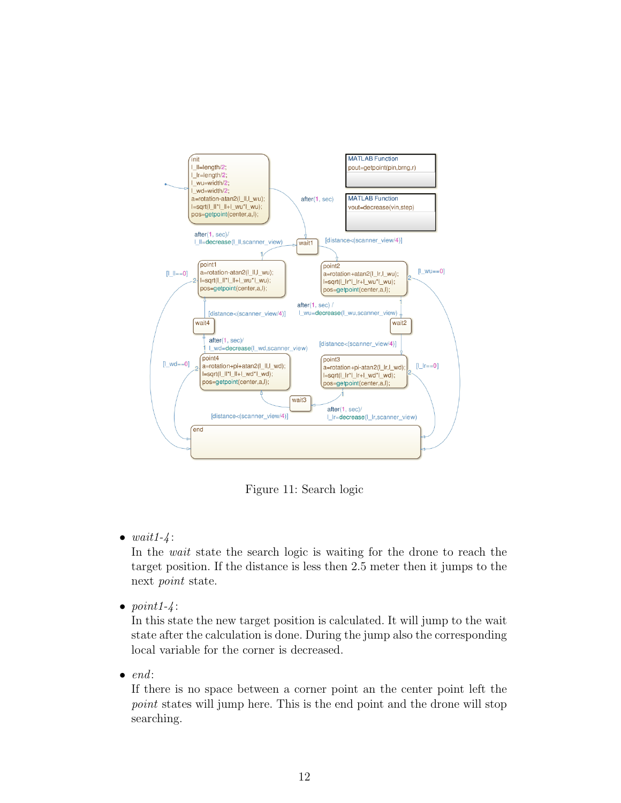

Figure 11: Search logic

•  $wait1 - 4$ :

In the wait state the search logic is waiting for the drone to reach the target position. If the distance is less then 2.5 meter then it jumps to the next point state.

•  $point1-4$ :

In this state the new target position is calculated. It will jump to the wait state after the calculation is done. During the jump also the corresponding local variable for the corner is decreased.

 $\bullet$  end:

If there is no space between a corner point an the center point left the point states will jump here. This is the end point and the drone will stop searching.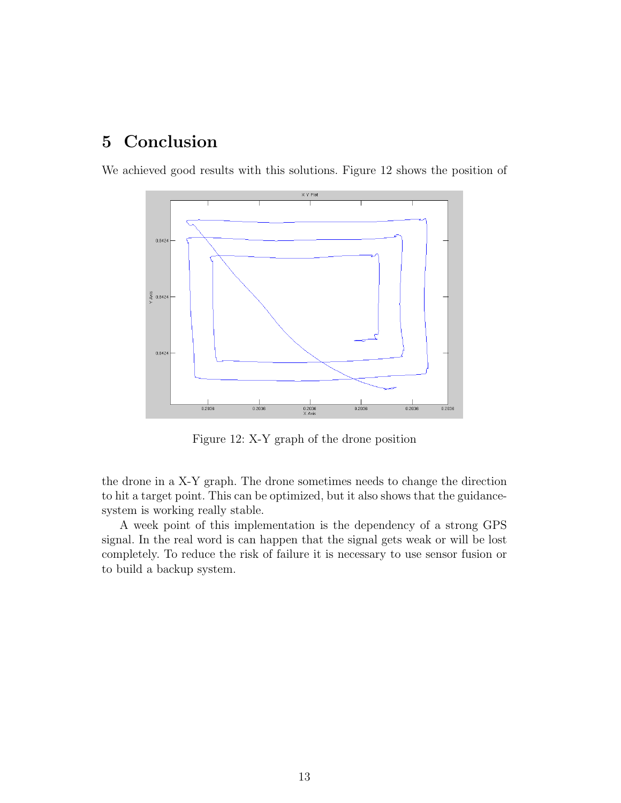## 5 Conclusion

We achieved good results with this solutions. Figure 12 shows the position of



Figure 12: X-Y graph of the drone position

the drone in a X-Y graph. The drone sometimes needs to change the direction to hit a target point. This can be optimized, but it also shows that the guidancesystem is working really stable.

A week point of this implementation is the dependency of a strong GPS signal. In the real word is can happen that the signal gets weak or will be lost completely. To reduce the risk of failure it is necessary to use sensor fusion or to build a backup system.